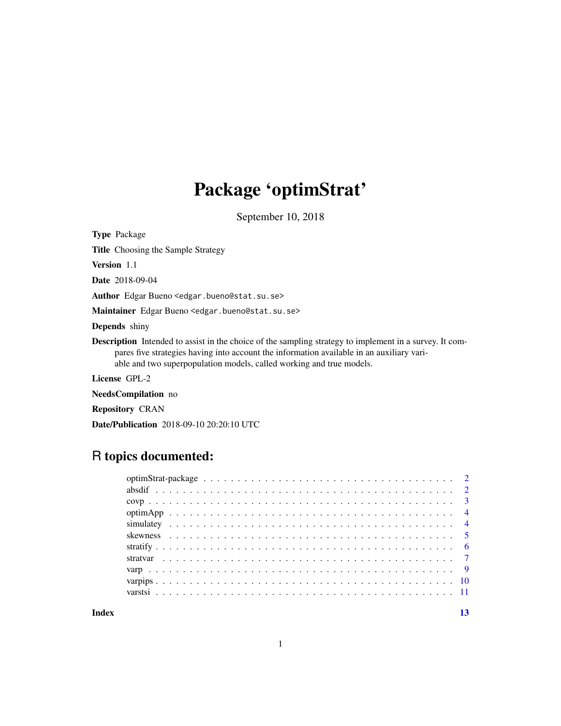# Package 'optimStrat'

September 10, 2018

<span id="page-0-0"></span>Type Package

Title Choosing the Sample Strategy

Version 1.1

Date 2018-09-04

Author Edgar Bueno <edgar.bueno@stat.su.se>

Maintainer Edgar Bueno <edgar.bueno@stat.su.se>

Depends shiny

Description Intended to assist in the choice of the sampling strategy to implement in a survey. It compares five strategies having into account the information available in an auxiliary variable and two superpopulation models, called working and true models.

License GPL-2

NeedsCompilation no

Repository CRAN

Date/Publication 2018-09-10 20:20:10 UTC

# R topics documented:

**Index** [13](#page-12-0)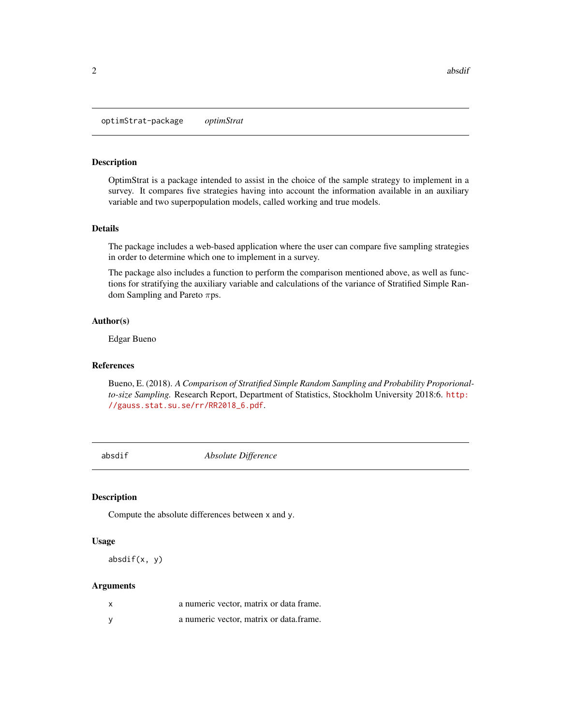<span id="page-1-0"></span>optimStrat-package *optimStrat*

#### Description

OptimStrat is a package intended to assist in the choice of the sample strategy to implement in a survey. It compares five strategies having into account the information available in an auxiliary variable and two superpopulation models, called working and true models.

### Details

The package includes a web-based application where the user can compare five sampling strategies in order to determine which one to implement in a survey.

The package also includes a function to perform the comparison mentioned above, as well as functions for stratifying the auxiliary variable and calculations of the variance of Stratified Simple Random Sampling and Pareto πps.

#### Author(s)

Edgar Bueno

#### References

Bueno, E. (2018). *A Comparison of Stratified Simple Random Sampling and Probability Proporionalto-size Sampling.* Research Report, Department of Statistics, Stockholm University 2018:6. [http:](http://gauss.stat.su.se/rr/RR2018_6.pdf) [//gauss.stat.su.se/rr/RR2018\\_6.pdf](http://gauss.stat.su.se/rr/RR2018_6.pdf).

absdif *Absolute Difference*

#### Description

Compute the absolute differences between x and y.

#### Usage

 $absdiff(x, y)$ 

#### Arguments

| x | a numeric vector, matrix or data frame. |
|---|-----------------------------------------|
|   | a numeric vector, matrix or data frame. |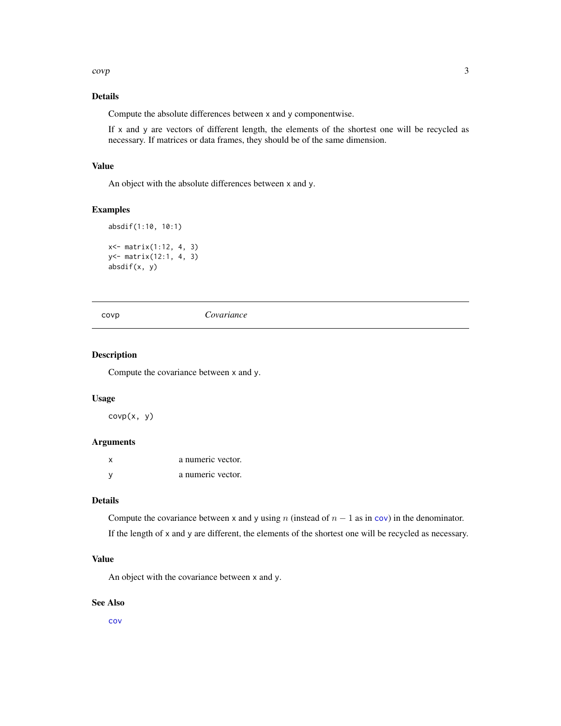<span id="page-2-0"></span> $covp$  3

# Details

Compute the absolute differences between x and y componentwise.

If x and y are vectors of different length, the elements of the shortest one will be recycled as necessary. If matrices or data frames, they should be of the same dimension.

# Value

An object with the absolute differences between x and y.

### Examples

```
absdif(1:10, 10:1)
x<- matrix(1:12, 4, 3)
y<- matrix(12:1, 4, 3)
absdif(x, y)
```
covp *Covariance*

#### Description

Compute the covariance between x and y.

#### Usage

 $covp(x, y)$ 

### Arguments

| x | a numeric vector. |
|---|-------------------|
| у | a numeric vector. |

### Details

Compute the [cov](#page-0-0)ariance between x and y using n (instead of  $n - 1$  as in cov) in the denominator. If the length of x and y are different, the elements of the shortest one will be recycled as necessary.

### Value

An object with the covariance between x and y.

### See Also

[cov](#page-0-0)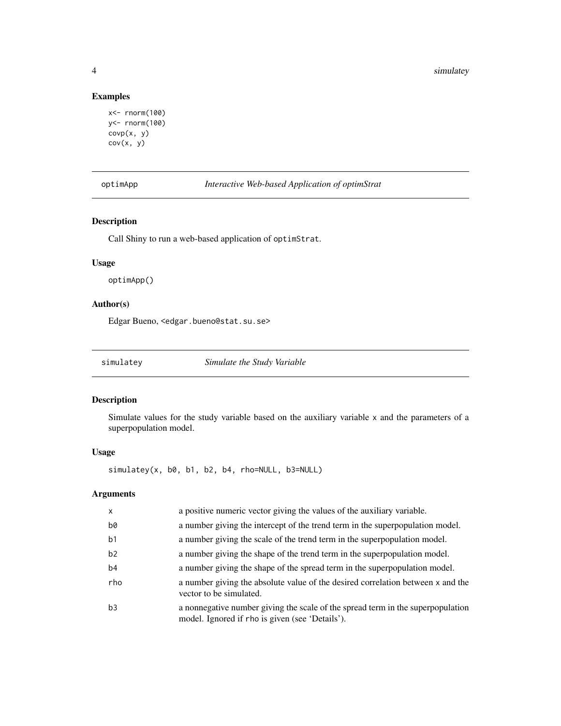# Examples

```
x<- rnorm(100)
y<- rnorm(100)
covp(x, y)
cov(x, y)
```
optimApp *Interactive Web-based Application of optimStrat*

# Description

Call Shiny to run a web-based application of optimStrat.

# Usage

optimApp()

# Author(s)

Edgar Bueno, <edgar.bueno@stat.su.se>

<span id="page-3-1"></span>simulatey *Simulate the Study Variable*

#### Description

Simulate values for the study variable based on the auxiliary variable x and the parameters of a superpopulation model.

#### Usage

simulatey(x, b0, b1, b2, b4, rho=NULL, b3=NULL)

# Arguments

| $\mathsf{x}$   | a positive numeric vector giving the values of the auxiliary variable.                                                             |
|----------------|------------------------------------------------------------------------------------------------------------------------------------|
| b0             | a number giving the intercept of the trend term in the superpopulation model.                                                      |
| b <sub>1</sub> | a number giving the scale of the trend term in the superpopulation model.                                                          |
| b <sub>2</sub> | a number giving the shape of the trend term in the superpopulation model.                                                          |
| b <sub>4</sub> | a number giving the shape of the spread term in the superpopulation model.                                                         |
| rho            | a number giving the absolute value of the desired correlation between x and the<br>vector to be simulated.                         |
| b3             | a nonnegative number giving the scale of the spread term in the superpopulation<br>model. Ignored if rho is given (see 'Details'). |

<span id="page-3-0"></span>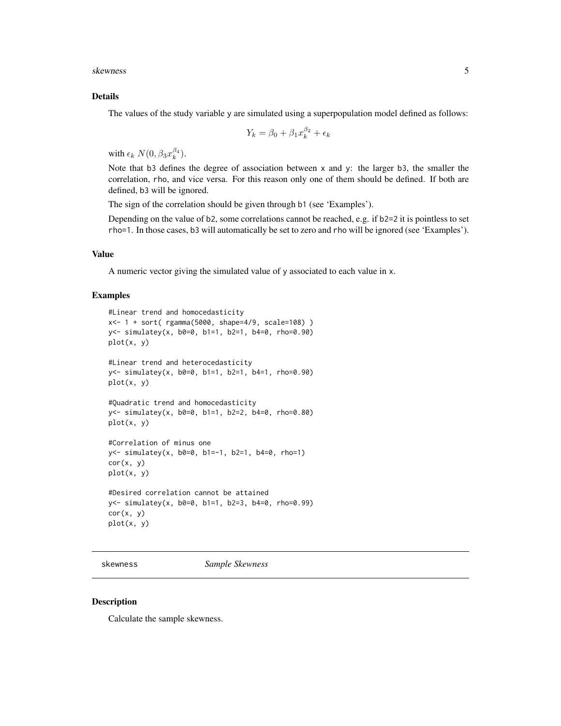<span id="page-4-0"></span>skewness 5

#### Details

The values of the study variable y are simulated using a superpopulation model defined as follows:

$$
Y_k = \beta_0 + \beta_1 x_k^{\beta_2} + \epsilon_k
$$

with  $\epsilon_k N(0, \beta_3 x_k^{\beta_4}).$ 

Note that b3 defines the degree of association between x and y: the larger b3, the smaller the correlation, rho, and vice versa. For this reason only one of them should be defined. If both are defined, b3 will be ignored.

The sign of the correlation should be given through b1 (see 'Examples').

Depending on the value of b2, some correlations cannot be reached, e.g. if b2=2 it is pointless to set rho=1. In those cases, b3 will automatically be set to zero and rho will be ignored (see 'Examples').

#### Value

A numeric vector giving the simulated value of y associated to each value in x.

#### Examples

```
#Linear trend and homocedasticity
x<- 1 + sort( rgamma(5000, shape=4/9, scale=108) )
y<- simulatey(x, b0=0, b1=1, b2=1, b4=0, rho=0.90)
plot(x, y)
#Linear trend and heterocedasticity
y<- simulatey(x, b0=0, b1=1, b2=1, b4=1, rho=0.90)
plot(x, y)
#Quadratic trend and homocedasticity
y<- simulatey(x, b0=0, b1=1, b2=2, b4=0, rho=0.80)
plot(x, y)
#Correlation of minus one
y<- simulatey(x, b0=0, b1=-1, b2=1, b4=0, rho=1)
cor(x, y)
plot(x, y)
#Desired correlation cannot be attained
y<- simulatey(x, b0=0, b1=1, b2=3, b4=0, rho=0.99)
cor(x, y)plot(x, y)
```
skewness *Sample Skewness*

#### Description

Calculate the sample skewness.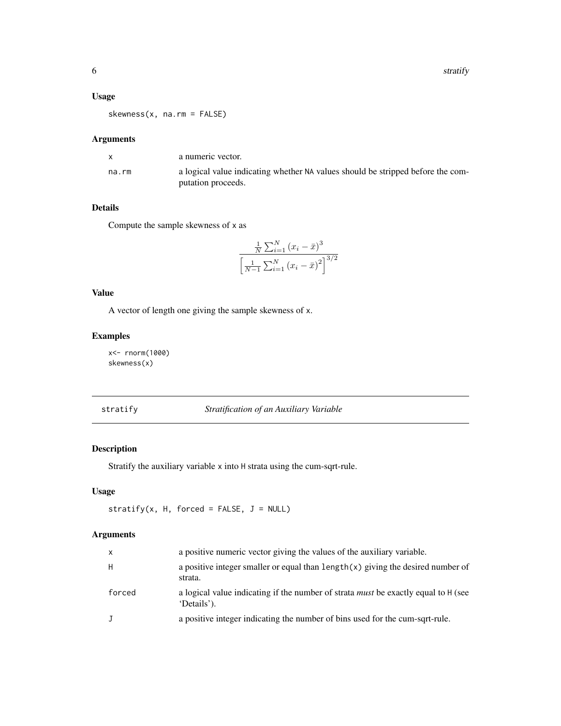# <span id="page-5-0"></span>Usage

skewness(x, na.rm = FALSE)

# Arguments

|       | a numeric vector.                                                               |
|-------|---------------------------------------------------------------------------------|
| na.rm | a logical value indicating whether NA values should be stripped before the com- |
|       | putation proceeds.                                                              |

# Details

Compute the sample skewness of x as

$$
\frac{\frac{1}{N} \sum_{i=1}^{N} (x_i - \bar{x})^3}{\left[\frac{1}{N-1} \sum_{i=1}^{N} (x_i - \bar{x})^2\right]^{3/2}}
$$

# Value

A vector of length one giving the sample skewness of x.

# Examples

x<- rnorm(1000) skewness(x)

<span id="page-5-1"></span>stratify *Stratification of an Auxiliary Variable*

# Description

Stratify the auxiliary variable x into H strata using the cum-sqrt-rule.

# Usage

```
stratify(x, H, forced = FALSE, J = NULL)
```
# Arguments

| $\mathsf{x}$ | a positive numeric vector giving the values of the auxiliary variable.                                   |
|--------------|----------------------------------------------------------------------------------------------------------|
| H            | a positive integer smaller or equal than $length(x)$ giving the desired number of<br>strata.             |
| forced       | a logical value indicating if the number of strata <i>must</i> be exactly equal to H (see<br>'Details'). |
| $\mathbf{J}$ | a positive integer indicating the number of bins used for the cum-sqrt-rule.                             |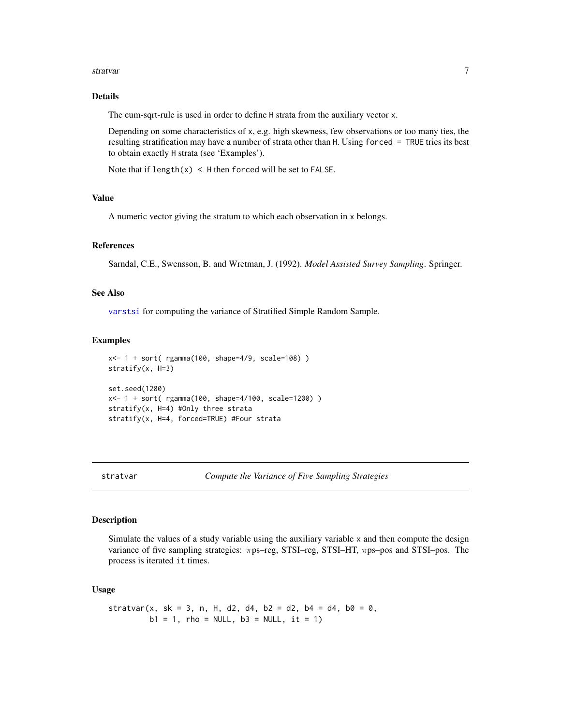#### <span id="page-6-0"></span>stratvar 7

# Details

The cum-sqrt-rule is used in order to define H strata from the auxiliary vector x.

Depending on some characteristics of x, e.g. high skewness, few observations or too many ties, the resulting stratification may have a number of strata other than H. Using forced = TRUE tries its best to obtain exactly H strata (see 'Examples').

Note that if  $length(x) < H$  then forced will be set to FALSE.

# Value

A numeric vector giving the stratum to which each observation in x belongs.

#### References

Sarndal, C.E., Swensson, B. and Wretman, J. (1992). *Model Assisted Survey Sampling*. Springer.

#### See Also

[varstsi](#page-10-1) for computing the variance of Stratified Simple Random Sample.

#### Examples

```
x<- 1 + sort( rgamma(100, shape=4/9, scale=108) )
stratify(x, H=3)
set.seed(1280)
x<- 1 + sort( rgamma(100, shape=4/100, scale=1200) )
stratify(x, H=4) #Only three strata
stratify(x, H=4, forced=TRUE) #Four strata
```
stratvar *Compute the Variance of Five Sampling Strategies*

#### Description

Simulate the values of a study variable using the auxiliary variable x and then compute the design variance of five sampling strategies: πps–reg, STSI–reg, STSI–HT, πps–pos and STSI–pos. The process is iterated it times.

#### Usage

$$
stratvar(x, sk = 3, n, H, d2, d4, b2 = d2, b4 = d4, b0 = 0, b1 = 1, rho = NULL, b3 = NULL, it = 1)
$$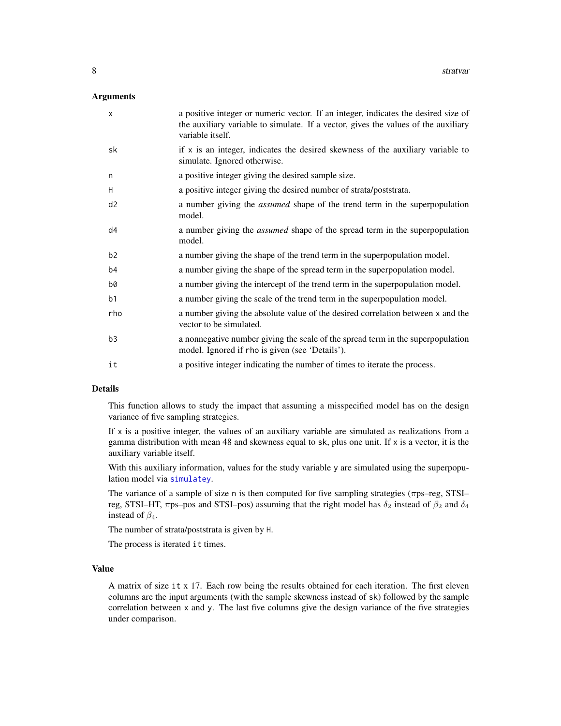#### <span id="page-7-0"></span>Arguments

| $\mathsf{x}$   | a positive integer or numeric vector. If an integer, indicates the desired size of<br>the auxiliary variable to simulate. If a vector, gives the values of the auxiliary<br>variable itself. |
|----------------|----------------------------------------------------------------------------------------------------------------------------------------------------------------------------------------------|
| sk             | if $x$ is an integer, indicates the desired skewness of the auxiliary variable to<br>simulate. Ignored otherwise.                                                                            |
| n              | a positive integer giving the desired sample size.                                                                                                                                           |
| H              | a positive integer giving the desired number of strata/poststrata.                                                                                                                           |
| d <sub>2</sub> | a number giving the <i>assumed</i> shape of the trend term in the superpopulation<br>model.                                                                                                  |
| d4             | a number giving the <i>assumed</i> shape of the spread term in the superpopulation<br>model.                                                                                                 |
| b <sub>2</sub> | a number giving the shape of the trend term in the superpopulation model.                                                                                                                    |
| b4             | a number giving the shape of the spread term in the superpopulation model.                                                                                                                   |
| b0             | a number giving the intercept of the trend term in the superpopulation model.                                                                                                                |
| b <sub>1</sub> | a number giving the scale of the trend term in the superpopulation model.                                                                                                                    |
| rho            | a number giving the absolute value of the desired correlation between x and the<br>vector to be simulated.                                                                                   |
| b3             | a nonnegative number giving the scale of the spread term in the superpopulation<br>model. Ignored if rho is given (see 'Details').                                                           |
| it             | a positive integer indicating the number of times to iterate the process.                                                                                                                    |

### Details

This function allows to study the impact that assuming a misspecified model has on the design variance of five sampling strategies.

If  $x$  is a positive integer, the values of an auxiliary variable are simulated as realizations from a gamma distribution with mean 48 and skewness equal to  $sk$ , plus one unit. If x is a vector, it is the auxiliary variable itself.

With this auxiliary information, values for the study variable y are simulated using the superpopulation model via [simulatey](#page-3-1).

The variance of a sample of size n is then computed for five sampling strategies (πps–reg, STSI– reg, STSI–HT,  $\pi$ ps–pos and STSI–pos) assuming that the right model has  $\delta_2$  instead of  $\beta_2$  and  $\delta_4$ instead of  $\beta_4$ .

The number of strata/poststrata is given by H.

The process is iterated it times.

#### Value

A matrix of size it x 17. Each row being the results obtained for each iteration. The first eleven columns are the input arguments (with the sample skewness instead of sk) followed by the sample correlation between x and y. The last five columns give the design variance of the five strategies under comparison.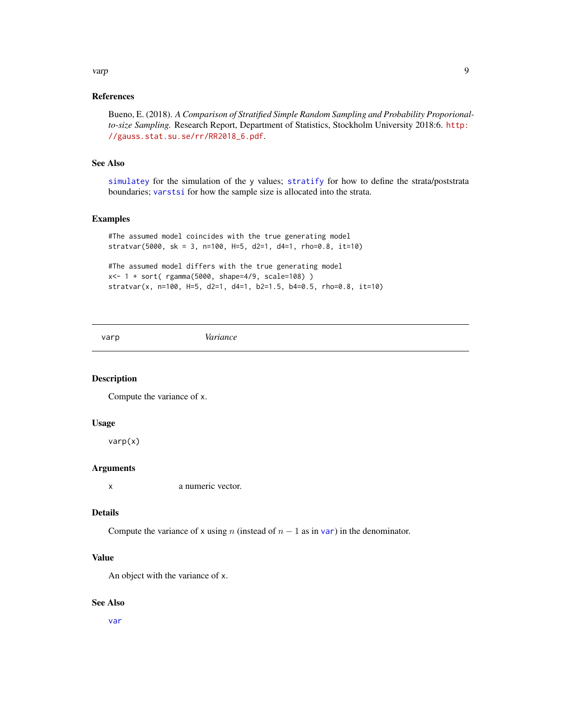# <span id="page-8-0"></span>varp 2008 and 2009 and 2009 and 2009 and 2009 and 2009 and 2009 and 2009 and 2009 and 2009 and 2009 and 2009 and 2009 and 2009 and 2009 and 2009 and 2009 and 2009 and 2009 and 2009 and 2009 and 2009 and 2009 and 2009 and 2

# References

Bueno, E. (2018). *A Comparison of Stratified Simple Random Sampling and Probability Proporionalto-size Sampling.* Research Report, Department of Statistics, Stockholm University 2018:6. [http:](http://gauss.stat.su.se/rr/RR2018_6.pdf) [//gauss.stat.su.se/rr/RR2018\\_6.pdf](http://gauss.stat.su.se/rr/RR2018_6.pdf).

# See Also

[simulatey](#page-3-1) for the simulation of the y values; [stratify](#page-5-1) for how to define the strata/poststrata boundaries; [varstsi](#page-10-1) for how the sample size is allocated into the strata.

# Examples

```
#The assumed model coincides with the true generating model
stratvar(5000, sk = 3, n=100, H=5, d2=1, d4=1, rho=0.8, it=10)
#The assumed model differs with the true generating model
```

```
x<- 1 + sort( rgamma(5000, shape=4/9, scale=108) )
stratvar(x, n=100, H=5, d2=1, d4=1, b2=1.5, b4=0.5, rho=0.8, it=10)
```
varp *Variance*

# Description

Compute the variance of x.

#### Usage

varp(x)

# Arguments

x a numeric vector.

#### Details

Compute the [var](#page-0-0)iance of x using n (instead of  $n - 1$  as in var) in the denominator.

#### Value

An object with the variance of x.

#### See Also

[var](#page-0-0)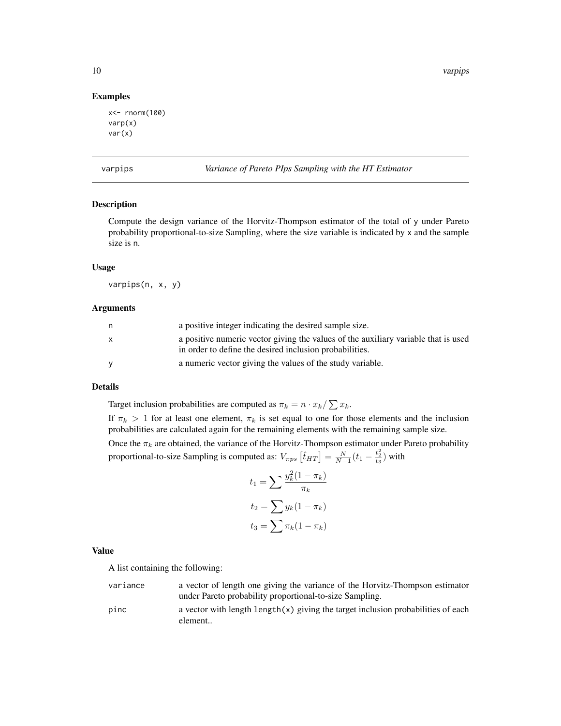<span id="page-9-0"></span>10 varpips

#### Examples

```
x<- rnorm(100)
varp(x)
var(x)
```
varpips *Variance of Pareto PIps Sampling with the HT Estimator*

# Description

Compute the design variance of the Horvitz-Thompson estimator of the total of y under Pareto probability proportional-to-size Sampling, where the size variable is indicated by x and the sample size is n.

# Usage

varpips(n, x, y)

# Arguments

| n.       | a positive integer indicating the desired sample size.                                                                                        |
|----------|-----------------------------------------------------------------------------------------------------------------------------------------------|
| X        | a positive numeric vector giving the values of the auxiliary variable that is used<br>in order to define the desired inclusion probabilities. |
| <b>V</b> | a numeric vector giving the values of the study variable.                                                                                     |

#### Details

Target inclusion probabilities are computed as  $\pi_k = n \cdot x_k / \sum x_k$ .

If  $\pi_k > 1$  for at least one element,  $\pi_k$  is set equal to one for those elements and the inclusion probabilities are calculated again for the remaining elements with the remaining sample size.

Once the  $\pi_k$  are obtained, the variance of the Horvitz-Thompson estimator under Pareto probability proportional-to-size Sampling is computed as:  $V_{\pi ps}$   $[\hat{t}_{HT}] = \frac{N}{N-1}(t_1 - \frac{t_2^2}{t_3})$  with

$$
t_1 = \sum \frac{y_k^2 (1 - \pi_k)}{\pi_k}
$$

$$
t_2 = \sum y_k (1 - \pi_k)
$$

$$
t_3 = \sum \pi_k (1 - \pi_k)
$$

# Value

A list containing the following:

variance a vector of length one giving the variance of the Horvitz-Thompson estimator under Pareto probability proportional-to-size Sampling.

pinc a vector with length  $\lceil \exp(x) \rceil$  giving the target inclusion probabilities of each element..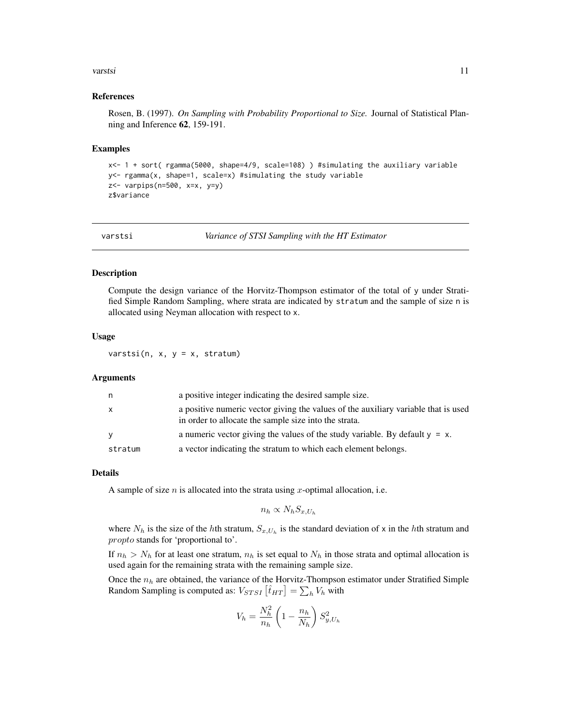#### <span id="page-10-0"></span>varstsi ta kommunist suurinnasti kuningas varstsi ta kommunist suurinnasti kuningas varstsi ta kommunist suuri

#### References

Rosen, B. (1997). *On Sampling with Probability Proportional to Size.* Journal of Statistical Planning and Inference 62, 159-191.

#### Examples

```
x<- 1 + sort( rgamma(5000, shape=4/9, scale=108) ) #simulating the auxiliary variable
y<- rgamma(x, shape=1, scale=x) #simulating the study variable
z<- varpips(n=500, x=x, y=y)
z$variance
```
<span id="page-10-1"></span>

varstsi *Variance of STSI Sampling with the HT Estimator*

#### Description

Compute the design variance of the Horvitz-Thompson estimator of the total of y under Stratified Simple Random Sampling, where strata are indicated by stratum and the sample of size n is allocated using Neyman allocation with respect to x.

#### Usage

varstsi(n,  $x$ ,  $y = x$ , stratum)

# Arguments

| n            | a positive integer indicating the desired sample size.                                                                                      |
|--------------|---------------------------------------------------------------------------------------------------------------------------------------------|
| $\mathsf{x}$ | a positive numeric vector giving the values of the auxiliary variable that is used<br>in order to allocate the sample size into the strata. |
| <b>V</b>     | a numeric vector giving the values of the study variable. By default $y = x$ .                                                              |
| stratum      | a vector indicating the stratum to which each element belongs.                                                                              |

#### Details

A sample of size  $n$  is allocated into the strata using  $x$ -optimal allocation, i.e.

$$
n_h \propto N_h S_{x,U_h}
$$

where  $N_h$  is the size of the hth stratum,  $S_{x,U_h}$  is the standard deviation of x in the hth stratum and propto stands for 'proportional to'.

If  $n_h > N_h$  for at least one stratum,  $n_h$  is set equal to  $N_h$  in those strata and optimal allocation is used again for the remaining strata with the remaining sample size.

Once the  $n_h$  are obtained, the variance of the Horvitz-Thompson estimator under Stratified Simple Random Sampling is computed as:  $V_{STSI}$   $[\hat{t}_{HT}] = \sum_h V_h$  with

$$
V_h = \frac{N_h^2}{n_h} \left( 1 - \frac{n_h}{N_h} \right) S_{y, U_h}^2
$$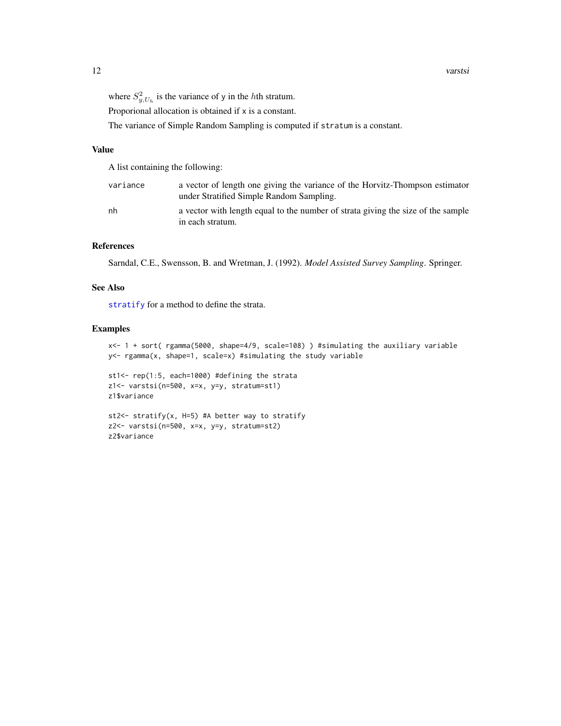<span id="page-11-0"></span>Proporional allocation is obtained if x is a constant.

The variance of Simple Random Sampling is computed if stratum is a constant.

#### Value

A list containing the following:

| variance | a vector of length one giving the variance of the Horvitz-Thompson estimator<br>under Stratified Simple Random Sampling. |
|----------|--------------------------------------------------------------------------------------------------------------------------|
| nh       | a vector with length equal to the number of strata giving the size of the sample<br>in each stratum.                     |

#### References

Sarndal, C.E., Swensson, B. and Wretman, J. (1992). *Model Assisted Survey Sampling*. Springer.

#### See Also

[stratify](#page-5-1) for a method to define the strata.

### Examples

```
x<- 1 + sort( rgamma(5000, shape=4/9, scale=108) ) #simulating the auxiliary variable
y<- rgamma(x, shape=1, scale=x) #simulating the study variable
```

```
st1<- rep(1:5, each=1000) #defining the strata
z1<- varstsi(n=500, x=x, y=y, stratum=st1)
z1$variance
```

```
st2<- stratify(x, H=5) #A better way to stratify
z2<- varstsi(n=500, x=x, y=y, stratum=st2)
z2$variance
```